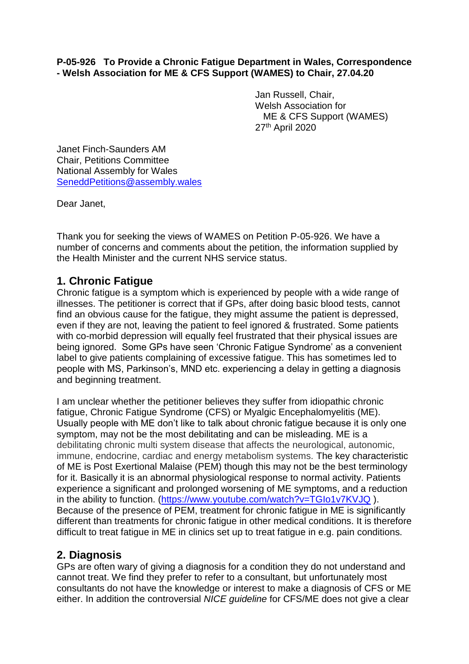#### **P-05-926 To Provide a Chronic Fatigue Department in Wales, Correspondence - Welsh Association for ME & CFS Support (WAMES) to Chair, 27.04.20**

Jan Russell, Chair, Welsh Association for ME & CFS Support (WAMES) 27th April 2020

Janet Finch-Saunders AM Chair, Petitions Committee National Assembly for Wales [SeneddPetitions@assembly.wales](mailto:SeneddPetitions@assembly.wales)

Dear Janet,

Thank you for seeking the views of WAMES on Petition P-05-926. We have a number of concerns and comments about the petition, the information supplied by the Health Minister and the current NHS service status.

### **1. Chronic Fatigue**

Chronic fatigue is a symptom which is experienced by people with a wide range of illnesses. The petitioner is correct that if GPs, after doing basic blood tests, cannot find an obvious cause for the fatigue, they might assume the patient is depressed, even if they are not, leaving the patient to feel ignored & frustrated. Some patients with co-morbid depression will equally feel frustrated that their physical issues are being ignored. Some GPs have seen 'Chronic Fatigue Syndrome' as a convenient label to give patients complaining of excessive fatigue. This has sometimes led to people with MS, Parkinson's, MND etc. experiencing a delay in getting a diagnosis and beginning treatment.

I am unclear whether the petitioner believes they suffer from idiopathic chronic fatigue, Chronic Fatigue Syndrome (CFS) or Myalgic Encephalomyelitis (ME). Usually people with ME don't like to talk about chronic fatigue because it is only one symptom, may not be the most debilitating and can be misleading. ME is a debilitating chronic multi system disease that affects the neurological, autonomic, immune, endocrine, cardiac and energy metabolism systems. The key characteristic of ME is Post Exertional Malaise (PEM) though this may not be the best terminology for it. Basically it is an abnormal physiological response to normal activity. Patients experience a significant and prolonged worsening of ME symptoms, and a reduction in the ability to function. [\(https://www.youtube.com/watch?v=TGIo1v7KVJQ](https://www.youtube.com/watch?v=TGIo1v7KVJQ) ). Because of the presence of PEM, treatment for chronic fatigue in ME is significantly different than treatments for chronic fatigue in other medical conditions. It is therefore difficult to treat fatigue in ME in clinics set up to treat fatigue in e.g. pain conditions.

# **2. Diagnosis**

GPs are often wary of giving a diagnosis for a condition they do not understand and cannot treat. We find they prefer to refer to a consultant, but unfortunately most consultants do not have the knowledge or interest to make a diagnosis of CFS or ME either. In addition the controversial *NICE guideline* for CFS/ME does not give a clear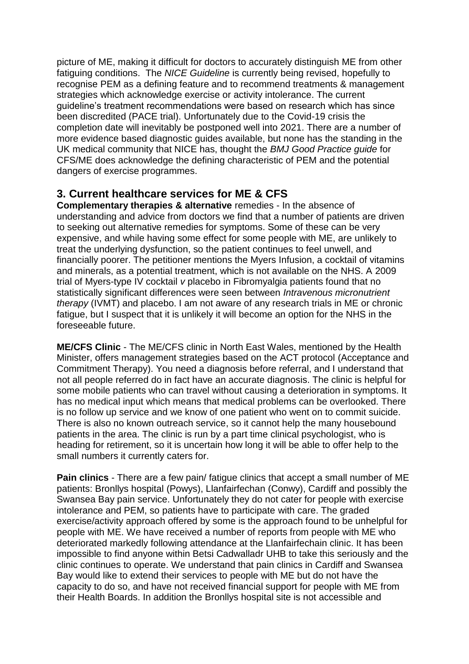picture of ME, making it difficult for doctors to accurately distinguish ME from other fatiguing conditions. The *NICE Guideline* is currently being revised, hopefully to recognise PEM as a defining feature and to recommend treatments & management strategies which acknowledge exercise or activity intolerance. The current guideline's treatment recommendations were based on research which has since been discredited (PACE trial). Unfortunately due to the Covid-19 crisis the completion date will inevitably be postponed well into 2021. There are a number of more evidence based diagnostic guides available, but none has the standing in the UK medical community that NICE has, thought the *BMJ Good Practice guide* for CFS/ME does acknowledge the defining characteristic of PEM and the potential dangers of exercise programmes.

# **3. Current healthcare services for ME & CFS**

**Complementary therapies & alternative** remedies - In the absence of understanding and advice from doctors we find that a number of patients are driven to seeking out alternative remedies for symptoms. Some of these can be very expensive, and while having some effect for some people with ME, are unlikely to treat the underlying dysfunction, so the patient continues to feel unwell, and financially poorer. The petitioner mentions the Myers Infusion, a cocktail of vitamins and minerals, as a potential treatment, which is not available on the NHS. A 2009 trial of Myers-type IV cocktail *v* placebo in Fibromyalgia patients found that no statistically significant differences were seen between *Intravenous micronutrient therapy* (IVMT) and placebo. I am not aware of any research trials in ME or chronic fatigue, but I suspect that it is unlikely it will become an option for the NHS in the foreseeable future.

**ME/CFS Clinic** - The ME/CFS clinic in North East Wales, mentioned by the Health Minister, offers management strategies based on the ACT protocol (Acceptance and Commitment Therapy). You need a diagnosis before referral, and I understand that not all people referred do in fact have an accurate diagnosis. The clinic is helpful for some mobile patients who can travel without causing a deterioration in symptoms. It has no medical input which means that medical problems can be overlooked. There is no follow up service and we know of one patient who went on to commit suicide. There is also no known outreach service, so it cannot help the many housebound patients in the area. The clinic is run by a part time clinical psychologist, who is heading for retirement, so it is uncertain how long it will be able to offer help to the small numbers it currently caters for.

**Pain clinics** - There are a few pain/ fatigue clinics that accept a small number of ME patients: Bronllys hospital (Powys), Llanfairfechan (Conwy), Cardiff and possibly the Swansea Bay pain service. Unfortunately they do not cater for people with exercise intolerance and PEM, so patients have to participate with care. The graded exercise/activity approach offered by some is the approach found to be unhelpful for people with ME. We have received a number of reports from people with ME who deteriorated markedly following attendance at the Llanfairfechain clinic. It has been impossible to find anyone within Betsi Cadwalladr UHB to take this seriously and the clinic continues to operate. We understand that pain clinics in Cardiff and Swansea Bay would like to extend their services to people with ME but do not have the capacity to do so, and have not received financial support for people with ME from their Health Boards. In addition the Bronllys hospital site is not accessible and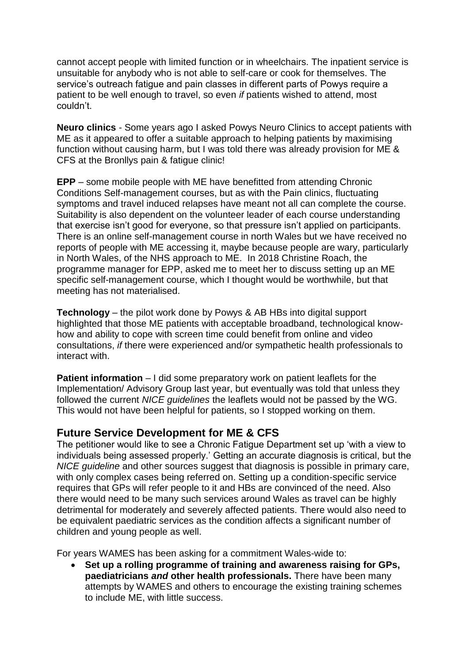cannot accept people with limited function or in wheelchairs. The inpatient service is unsuitable for anybody who is not able to self-care or cook for themselves. The service's outreach fatigue and pain classes in different parts of Powys require a patient to be well enough to travel, so even *if* patients wished to attend, most couldn't.

**Neuro clinics** - Some years ago I asked Powys Neuro Clinics to accept patients with ME as it appeared to offer a suitable approach to helping patients by maximising function without causing harm, but I was told there was already provision for ME & CFS at the Bronllys pain & fatigue clinic!

**EPP** – some mobile people with ME have benefitted from attending Chronic Conditions Self-management courses, but as with the Pain clinics, fluctuating symptoms and travel induced relapses have meant not all can complete the course. Suitability is also dependent on the volunteer leader of each course understanding that exercise isn't good for everyone, so that pressure isn't applied on participants. There is an online self-management course in north Wales but we have received no reports of people with ME accessing it, maybe because people are wary, particularly in North Wales, of the NHS approach to ME. In 2018 Christine Roach, the programme manager for EPP, asked me to meet her to discuss setting up an ME specific self-management course, which I thought would be worthwhile, but that meeting has not materialised.

**Technology** – the pilot work done by Powys & AB HBs into digital support highlighted that those ME patients with acceptable broadband, technological knowhow and ability to cope with screen time could benefit from online and video consultations, *if* there were experienced and/or sympathetic health professionals to interact with.

**Patient information** – I did some preparatory work on patient leaflets for the Implementation/ Advisory Group last year, but eventually was told that unless they followed the current *NICE guidelines* the leaflets would not be passed by the WG. This would not have been helpful for patients, so I stopped working on them.

# **Future Service Development for ME & CFS**

The petitioner would like to see a Chronic Fatigue Department set up 'with a view to individuals being assessed properly.' Getting an accurate diagnosis is critical, but the *NICE guideline* and other sources suggest that diagnosis is possible in primary care, with only complex cases being referred on. Setting up a condition-specific service requires that GPs will refer people to it and HBs are convinced of the need. Also there would need to be many such services around Wales as travel can be highly detrimental for moderately and severely affected patients. There would also need to be equivalent paediatric services as the condition affects a significant number of children and young people as well.

For years WAMES has been asking for a commitment Wales-wide to:

 **Set up a rolling programme of training and awareness raising for GPs, paediatricians** *and* **other health professionals.** There have been many attempts by WAMES and others to encourage the existing training schemes to include ME, with little success.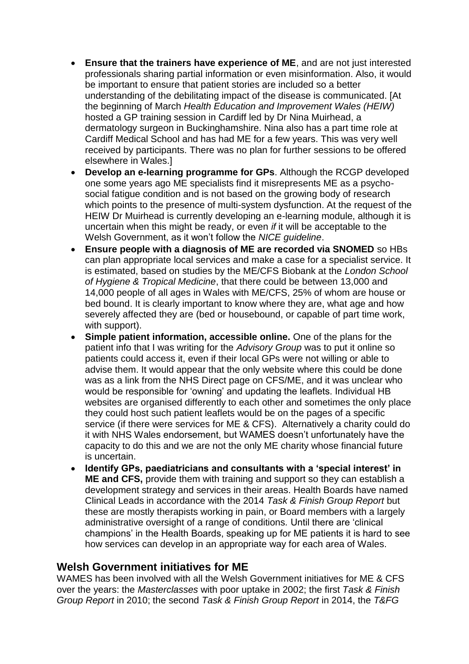- **Ensure that the trainers have experience of ME**, and are not just interested professionals sharing partial information or even misinformation. Also, it would be important to ensure that patient stories are included so a better understanding of the debilitating impact of the disease is communicated. [At the beginning of March *Health Education and Improvement Wales (HEIW)* hosted a GP training session in Cardiff led by Dr Nina Muirhead, a dermatology surgeon in Buckinghamshire. Nina also has a part time role at Cardiff Medical School and has had ME for a few years. This was very well received by participants. There was no plan for further sessions to be offered elsewhere in Wales.]
- **Develop an e-learning programme for GPs**. Although the RCGP developed one some years ago ME specialists find it misrepresents ME as a psychosocial fatigue condition and is not based on the growing body of research which points to the presence of multi-system dysfunction. At the request of the HEIW Dr Muirhead is currently developing an e-learning module, although it is uncertain when this might be ready, or even *if* it will be acceptable to the Welsh Government, as it won't follow the *NICE guideline*.
- **Ensure people with a diagnosis of ME are recorded via SNOMED** so HBs can plan appropriate local services and make a case for a specialist service. It is estimated, based on studies by the ME/CFS Biobank at the *London School of Hygiene & Tropical Medicine*, that there could be between 13,000 and 14,000 people of all ages in Wales with ME/CFS, 25% of whom are house or bed bound. It is clearly important to know where they are, what age and how severely affected they are (bed or housebound, or capable of part time work, with support).
- **Simple patient information, accessible online.** One of the plans for the patient info that I was writing for the *Advisory Group* was to put it online so patients could access it, even if their local GPs were not willing or able to advise them. It would appear that the only website where this could be done was as a link from the NHS Direct page on CFS/ME, and it was unclear who would be responsible for 'owning' and updating the leaflets. Individual HB websites are organised differently to each other and sometimes the only place they could host such patient leaflets would be on the pages of a specific service (if there were services for ME & CFS). Alternatively a charity could do it with NHS Wales endorsement, but WAMES doesn't unfortunately have the capacity to do this and we are not the only ME charity whose financial future is uncertain.
- **Identify GPs, paediatricians and consultants with a 'special interest' in ME and CFS,** provide them with training and support so they can establish a development strategy and services in their areas. Health Boards have named Clinical Leads in accordance with the 2014 *Task & Finish Group Report* but these are mostly therapists working in pain, or Board members with a largely administrative oversight of a range of conditions*.* Until there are 'clinical champions' in the Health Boards, speaking up for ME patients it is hard to see how services can develop in an appropriate way for each area of Wales.

# **Welsh Government initiatives for ME**

WAMES has been involved with all the Welsh Government initiatives for ME & CFS over the years: the *Masterclasses* with poor uptake in 2002; the first *Task & Finish Group Report* in 2010; the second *Task & Finish Group Report* in 2014, the *T&FG*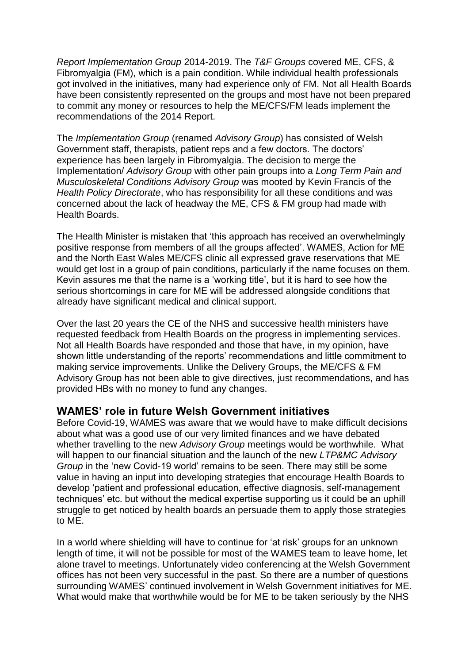*Report Implementation Group* 2014-2019. The *T&F Groups* covered ME, CFS, & Fibromyalgia (FM), which is a pain condition. While individual health professionals got involved in the initiatives, many had experience only of FM. Not all Health Boards have been consistently represented on the groups and most have not been prepared to commit any money or resources to help the ME/CFS/FM leads implement the recommendations of the 2014 Report.

The *Implementation Group* (renamed *Advisory Group*) has consisted of Welsh Government staff, therapists, patient reps and a few doctors. The doctors' experience has been largely in Fibromyalgia. The decision to merge the Implementation/ *Advisory Group* with other pain groups into a *Long Term Pain and Musculoskeletal Conditions Advisory Group* was mooted by Kevin Francis of the *Health Policy Directorate*, who has responsibility for all these conditions and was concerned about the lack of headway the ME, CFS & FM group had made with Health Boards.

The Health Minister is mistaken that 'this approach has received an overwhelmingly positive response from members of all the groups affected'. WAMES, Action for ME and the North East Wales ME/CFS clinic all expressed grave reservations that ME would get lost in a group of pain conditions, particularly if the name focuses on them. Kevin assures me that the name is a 'working title', but it is hard to see how the serious shortcomings in care for ME will be addressed alongside conditions that already have significant medical and clinical support.

Over the last 20 years the CE of the NHS and successive health ministers have requested feedback from Health Boards on the progress in implementing services. Not all Health Boards have responded and those that have, in my opinion, have shown little understanding of the reports' recommendations and little commitment to making service improvements. Unlike the Delivery Groups, the ME/CFS & FM Advisory Group has not been able to give directives, just recommendations, and has provided HBs with no money to fund any changes.

# **WAMES' role in future Welsh Government initiatives**

Before Covid-19, WAMES was aware that we would have to make difficult decisions about what was a good use of our very limited finances and we have debated whether travelling to the new *Advisory Group* meetings would be worthwhile. What will happen to our financial situation and the launch of the new *LTP&MC Advisory Group* in the 'new Covid-19 world' remains to be seen. There may still be some value in having an input into developing strategies that encourage Health Boards to develop 'patient and professional education, effective diagnosis, self-management techniques' etc. but without the medical expertise supporting us it could be an uphill struggle to get noticed by health boards an persuade them to apply those strategies to ME.

In a world where shielding will have to continue for 'at risk' groups for an unknown length of time, it will not be possible for most of the WAMES team to leave home, let alone travel to meetings. Unfortunately video conferencing at the Welsh Government offices has not been very successful in the past. So there are a number of questions surrounding WAMES' continued involvement in Welsh Government initiatives for ME. What would make that worthwhile would be for ME to be taken seriously by the NHS